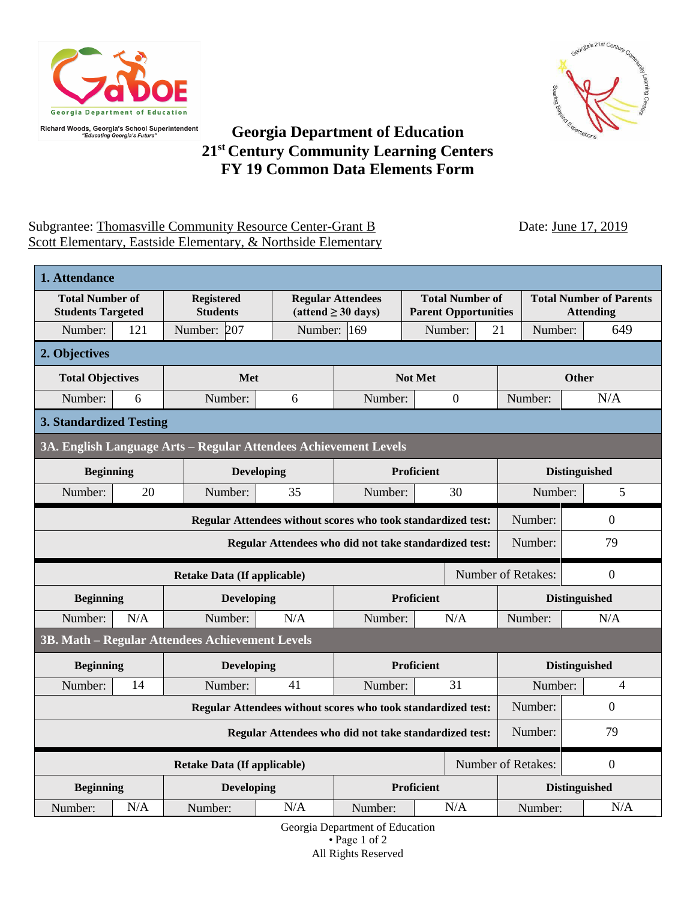



## **Georgia Department of Education 21st Century Community Learning Centers FY 19 Common Data Elements Form**

## Subgrantee: Thomasville Community Resource Center-Grant B Date: June 17, 2019 Scott Elementary, Eastside Elementary, & Northside Elementary

| 1. Attendance                                                                             |     |                                                 |                   |                                                             |                                                       |                      |                                                    |  |                  |  |  |
|-------------------------------------------------------------------------------------------|-----|-------------------------------------------------|-------------------|-------------------------------------------------------------|-------------------------------------------------------|----------------------|----------------------------------------------------|--|------------------|--|--|
| <b>Total Number of</b><br><b>Students Targeted</b>                                        |     | <b>Registered</b><br><b>Students</b>            |                   | <b>Regular Attendees</b><br>$(attend \geq 30 \text{ days})$ | <b>Total Number of</b><br><b>Parent Opportunities</b> |                      | <b>Total Number of Parents</b><br><b>Attending</b> |  |                  |  |  |
| Number:                                                                                   | 121 | Number: 207                                     | Number: 169       |                                                             | Number:                                               |                      | 21<br>Number:                                      |  | 649              |  |  |
| 2. Objectives                                                                             |     |                                                 |                   |                                                             |                                                       |                      |                                                    |  |                  |  |  |
| <b>Total Objectives</b>                                                                   |     | Met                                             | Not Met           |                                                             |                                                       | <b>Other</b>         |                                                    |  |                  |  |  |
| Number:                                                                                   | 6   | Number:                                         | 6                 | Number:                                                     |                                                       | $\boldsymbol{0}$     | Number:                                            |  | N/A              |  |  |
| <b>3. Standardized Testing</b>                                                            |     |                                                 |                   |                                                             |                                                       |                      |                                                    |  |                  |  |  |
| 3A. English Language Arts - Regular Attendees Achievement Levels                          |     |                                                 |                   |                                                             |                                                       |                      |                                                    |  |                  |  |  |
| <b>Beginning</b>                                                                          |     | <b>Developing</b>                               | Proficient        |                                                             |                                                       | <b>Distinguished</b> |                                                    |  |                  |  |  |
| Number:                                                                                   | 20  | Number:                                         | 35                | Number:                                                     |                                                       | 30                   | Number:                                            |  | 5                |  |  |
| Number:<br>$\overline{0}$<br>Regular Attendees without scores who took standardized test: |     |                                                 |                   |                                                             |                                                       |                      |                                                    |  |                  |  |  |
| 79<br>Number:<br>Regular Attendees who did not take standardized test:                    |     |                                                 |                   |                                                             |                                                       |                      |                                                    |  |                  |  |  |
|                                                                                           |     | Number of Retakes:<br>$\overline{0}$            |                   |                                                             |                                                       |                      |                                                    |  |                  |  |  |
| <b>Beginning</b>                                                                          |     | <b>Developing</b>                               | <b>Proficient</b> |                                                             |                                                       | <b>Distinguished</b> |                                                    |  |                  |  |  |
| Number:                                                                                   | N/A | Number:                                         | N/A               | Number:                                                     | N/A                                                   |                      | Number:                                            |  | N/A              |  |  |
|                                                                                           |     | 3B. Math - Regular Attendees Achievement Levels |                   |                                                             |                                                       |                      |                                                    |  |                  |  |  |
| <b>Beginning</b>                                                                          |     | <b>Developing</b>                               | <b>Proficient</b> |                                                             |                                                       | <b>Distinguished</b> |                                                    |  |                  |  |  |
| Number:                                                                                   | 14  | Number:                                         | 41                | Number:                                                     |                                                       | 31                   | Number:                                            |  | $\overline{4}$   |  |  |
| $\overline{0}$<br>Regular Attendees without scores who took standardized test:<br>Number: |     |                                                 |                   |                                                             |                                                       |                      |                                                    |  |                  |  |  |
| Number:<br>Regular Attendees who did not take standardized test:                          |     |                                                 |                   |                                                             |                                                       |                      |                                                    |  | 79               |  |  |
| <b>Retake Data (If applicable)</b>                                                        |     |                                                 |                   |                                                             |                                                       |                      | Number of Retakes:                                 |  | $\boldsymbol{0}$ |  |  |
| <b>Beginning</b>                                                                          |     | <b>Developing</b>                               | <b>Proficient</b> |                                                             |                                                       | <b>Distinguished</b> |                                                    |  |                  |  |  |
| Number:                                                                                   | N/A | Number:                                         | N/A               | Number:                                                     |                                                       | N/A                  | Number:                                            |  | N/A              |  |  |

Georgia Department of Education • Page 1 of 2 All Rights Reserved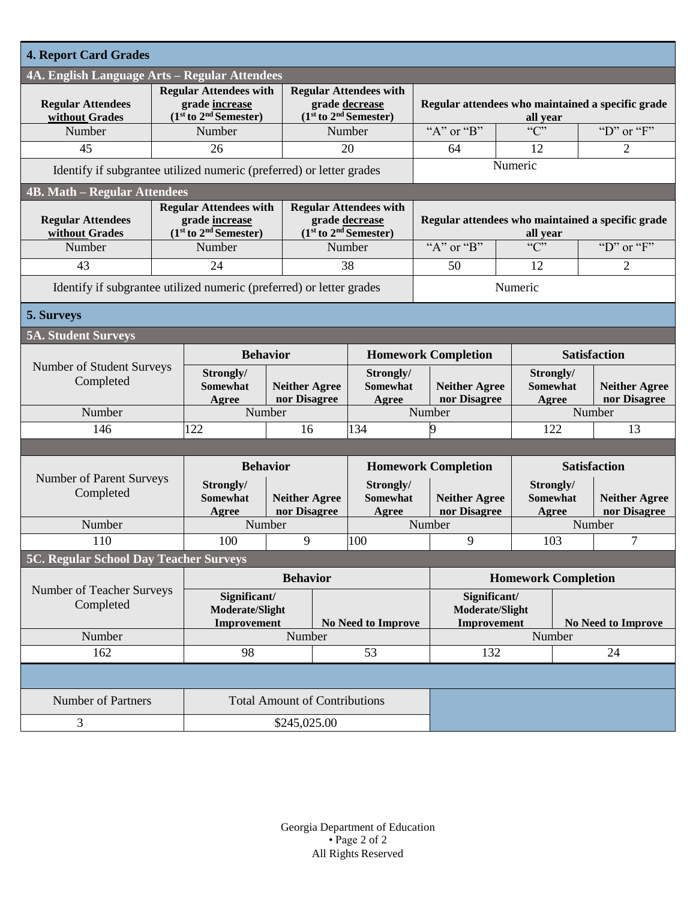| <b>4. Report Card Grades</b>                  |  |                                                                              |                                      |                                                                              |                                       |                                                               |                                      |                                       |                           |                                      |  |
|-----------------------------------------------|--|------------------------------------------------------------------------------|--------------------------------------|------------------------------------------------------------------------------|---------------------------------------|---------------------------------------------------------------|--------------------------------------|---------------------------------------|---------------------------|--------------------------------------|--|
| 4A. English Language Arts - Regular Attendees |  |                                                                              |                                      |                                                                              |                                       |                                                               |                                      |                                       |                           |                                      |  |
| <b>Regular Attendees</b><br>without Grades    |  | <b>Regular Attendees with</b><br>grade increase<br>$(1st to 2nd Semester)$   |                                      | <b>Regular Attendees with</b><br>grade decrease<br>$(1st to 2nd Semester)$   |                                       | Regular attendees who maintained a specific grade<br>all year |                                      |                                       |                           |                                      |  |
| Number                                        |  | Number                                                                       |                                      |                                                                              | Number                                |                                                               | " $A$ " or " $B$ "                   | $\overline{C}$                        |                           | "D" or " $F$ "                       |  |
| 45                                            |  | 26                                                                           |                                      | 20                                                                           |                                       |                                                               | 64                                   | 12                                    |                           | 2                                    |  |
|                                               |  | Identify if subgrantee utilized numeric (preferred) or letter grades         |                                      |                                                                              |                                       |                                                               | Numeric                              |                                       |                           |                                      |  |
| <b>4B. Math – Regular Attendees</b>           |  |                                                                              |                                      |                                                                              |                                       |                                                               |                                      |                                       |                           |                                      |  |
| <b>Regular Attendees</b><br>without Grades    |  | <b>Regular Attendees with</b><br>grade increase<br>$(1st$ to $2nd$ Semester) |                                      | <b>Regular Attendees with</b><br>grade decrease<br>$(1st$ to $2nd$ Semester) |                                       | Regular attendees who maintained a specific grade<br>all year |                                      |                                       |                           |                                      |  |
| Number                                        |  | Number                                                                       |                                      | Number                                                                       |                                       |                                                               | "A" or "B"                           |                                       |                           | "D" or " $F$ "                       |  |
| 43                                            |  | 24                                                                           |                                      |                                                                              | 38                                    | 50                                                            |                                      | 12                                    |                           | 2                                    |  |
|                                               |  | Identify if subgrantee utilized numeric (preferred) or letter grades         |                                      |                                                                              |                                       |                                                               | Numeric                              |                                       |                           |                                      |  |
| 5. Surveys                                    |  |                                                                              |                                      |                                                                              |                                       |                                                               |                                      |                                       |                           |                                      |  |
| <b>5A. Student Surveys</b>                    |  |                                                                              |                                      |                                                                              |                                       |                                                               |                                      |                                       |                           |                                      |  |
| Number of Student Surveys<br>Completed        |  | <b>Behavior</b>                                                              |                                      |                                                                              | <b>Homework Completion</b>            |                                                               |                                      |                                       | <b>Satisfaction</b>       |                                      |  |
|                                               |  | Strongly/<br>Somewhat<br>Agree                                               | <b>Neither Agree</b><br>nor Disagree |                                                                              | Strongly/<br><b>Somewhat</b><br>Agree |                                                               | <b>Neither Agree</b><br>nor Disagree | Strongly/<br>Agree                    | <b>Somewhat</b>           | <b>Neither Agree</b><br>nor Disagree |  |
| Number                                        |  | Number                                                                       |                                      |                                                                              |                                       | Number                                                        |                                      |                                       | Number                    |                                      |  |
| 146                                           |  | 122                                                                          |                                      | 16                                                                           | 134                                   |                                                               | 9                                    | 122                                   |                           | 13                                   |  |
|                                               |  |                                                                              |                                      |                                                                              |                                       |                                                               |                                      |                                       |                           |                                      |  |
|                                               |  | <b>Behavior</b>                                                              |                                      |                                                                              |                                       |                                                               | <b>Homework Completion</b>           | <b>Satisfaction</b>                   |                           |                                      |  |
| Number of Parent Surveys<br>Completed         |  | Strongly/<br><b>Somewhat</b>                                                 |                                      | <b>Neither Agree</b>                                                         | Strongly/<br><b>Somewhat</b><br>Agree |                                                               | <b>Neither Agree</b><br>nor Disagree | Strongly/<br><b>Somewhat</b><br>Agree |                           | <b>Neither Agree</b><br>nor Disagree |  |
| Number                                        |  | Agree                                                                        | nor Disagree<br>Number               |                                                                              |                                       |                                                               | Number                               |                                       |                           | Number                               |  |
| 110                                           |  | 100<br>9                                                                     |                                      |                                                                              | 100                                   |                                                               |                                      | 9                                     |                           | 7<br>103                             |  |
| <b>5C. Regular School Day Teacher Surveys</b> |  |                                                                              |                                      |                                                                              |                                       |                                                               |                                      |                                       |                           |                                      |  |
| Number of Teacher Surveys<br>Completed        |  | <b>Behavior</b>                                                              |                                      |                                                                              |                                       | <b>Homework Completion</b>                                    |                                      |                                       |                           |                                      |  |
|                                               |  | Significant/<br>Moderate/Slight<br><b>Improvement</b>                        |                                      |                                                                              | No Need to Improve                    | Significant/<br>Moderate/Slight<br>Improvement                |                                      |                                       | <b>No Need to Improve</b> |                                      |  |
| Number                                        |  | Number                                                                       |                                      |                                                                              |                                       |                                                               |                                      |                                       | Number                    |                                      |  |
| 162                                           |  | 98                                                                           |                                      | 53                                                                           | 132                                   |                                                               |                                      | 24                                    |                           |                                      |  |
|                                               |  |                                                                              |                                      |                                                                              |                                       |                                                               |                                      |                                       |                           |                                      |  |
| <b>Number of Partners</b>                     |  | <b>Total Amount of Contributions</b>                                         |                                      |                                                                              |                                       |                                                               |                                      |                                       |                           |                                      |  |
| 3                                             |  | \$245,025.00                                                                 |                                      |                                                                              |                                       |                                                               |                                      |                                       |                           |                                      |  |